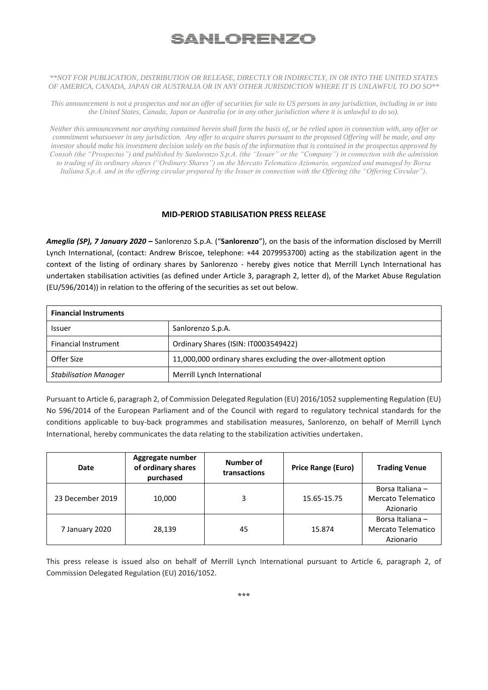## <u>SANLORENZO</u>

## *\*\*NOT FOR PUBLICATION, DISTRIBUTION OR RELEASE, DIRECTLY OR INDIRECTLY, IN OR INTO THE UNITED STATES OF AMERICA, CANADA, JAPAN OR AUSTRALIA OR IN ANY OTHER JURISDICTION WHERE IT IS UNLAWFUL TO DO SO\*\**

*This announcement is not a prospectus and not an offer of securities for sale to US persons in any jurisdiction, including in or into the United States, Canada, Japan or Australia (or in any other jurisdiction where it is unlawful to do so).*

*Neither this announcement nor anything contained herein shall form the basis of, or be relied upon in connection with, any offer or commitment whatsoever in any jurisdiction. Any offer to acquire shares pursuant to the proposed Offering will be made, and any investor should make his investment decision solely on the basis of the information that is contained in the prospectus approved by Consob (the "Prospectus") and published by Sanlorenzo S.p.A. (the "Issuer" or the "Company") in connection with the admission to trading of its ordinary shares ("Ordinary Shares") on the Mercato Telematico Azionario, organized and managed by Borsa Italiana S.p.A. and in the offering circular prepared by the Issuer in connection with the Offering (the "Offering Circular").*

## **MID-PERIOD STABILISATION PRESS RELEASE**

*Ameglia (SP), 7 January 2020 –* Sanlorenzo S.p.A. ("**Sanlorenzo**"), on the basis of the information disclosed by Merrill Lynch International, (contact: Andrew Briscoe, telephone: +44 2079953700) acting as the stabilization agent in the context of the listing of ordinary shares by Sanlorenzo - hereby gives notice that Merrill Lynch International has undertaken stabilisation activities (as defined under Article 3, paragraph 2, letter d), of the Market Abuse Regulation (EU/596/2014)) in relation to the offering of the securities as set out below.

| <b>Financial Instruments</b> |                                                                |  |  |  |
|------------------------------|----------------------------------------------------------------|--|--|--|
| <b>Issuer</b>                | Sanlorenzo S.p.A.                                              |  |  |  |
| <b>Financial Instrument</b>  | Ordinary Shares (ISIN: IT0003549422)                           |  |  |  |
| Offer Size                   | 11,000,000 ordinary shares excluding the over-allotment option |  |  |  |
| <b>Stabilisation Manager</b> | Merrill Lynch International                                    |  |  |  |

Pursuant to Article 6, paragraph 2, of Commission Delegated Regulation (EU) 2016/1052 supplementing Regulation (EU) No 596/2014 of the European Parliament and of the Council with regard to regulatory technical standards for the conditions applicable to buy-back programmes and stabilisation measures, Sanlorenzo, on behalf of Merrill Lynch International, hereby communicates the data relating to the stabilization activities undertaken.

| Date             | Aggregate number<br>of ordinary shares<br>purchased | Number of<br>transactions | <b>Price Range (Euro)</b> | <b>Trading Venue</b>                                |
|------------------|-----------------------------------------------------|---------------------------|---------------------------|-----------------------------------------------------|
| 23 December 2019 | 10,000                                              | 3                         | 15.65-15.75               | Borsa Italiana -<br>Mercato Telematico<br>Azionario |
| 7 January 2020   | 28,139                                              | 45                        | 15.874                    | Borsa Italiana -<br>Mercato Telematico<br>Azionario |

This press release is issued also on behalf of Merrill Lynch International pursuant to Article 6, paragraph 2, of Commission Delegated Regulation (EU) 2016/1052.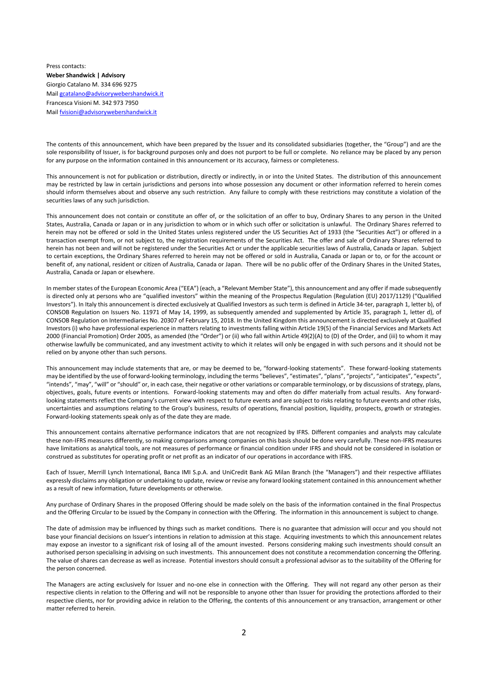Press contacts: **Weber Shandwick | Advisory** Giorgio Catalano M. 334 696 9275 Mail [gcatalano@advisorywebershandwick.it](mailto:gcatalano@advisorywebershandwick.it)  Francesca Visioni M. 342 973 7950 Mail [fvisioni@advisorywebershandwick.it](mailto:fvisioni@advisorywebershandwick.it)

The contents of this announcement, which have been prepared by the Issuer and its consolidated subsidiaries (together, the "Group") and are the sole responsibility of Issuer, is for background purposes only and does not purport to be full or complete. No reliance may be placed by any person for any purpose on the information contained in this announcement or its accuracy, fairness or completeness.

This announcement is not for publication or distribution, directly or indirectly, in or into the United States. The distribution of this announcement may be restricted by law in certain jurisdictions and persons into whose possession any document or other information referred to herein comes should inform themselves about and observe any such restriction. Any failure to comply with these restrictions may constitute a violation of the securities laws of any such jurisdiction.

This announcement does not contain or constitute an offer of, or the solicitation of an offer to buy, Ordinary Shares to any person in the United States, Australia, Canada or Japan or in any jurisdiction to whom or in which such offer or solicitation is unlawful. The Ordinary Shares referred to herein may not be offered or sold in the United States unless registered under the US Securities Act of 1933 (the "Securities Act") or offered in a transaction exempt from, or not subject to, the registration requirements of the Securities Act. The offer and sale of Ordinary Shares referred to herein has not been and will not be registered under the Securities Act or under the applicable securities laws of Australia, Canada or Japan. Subject to certain exceptions, the Ordinary Shares referred to herein may not be offered or sold in Australia, Canada or Japan or to, or for the account or benefit of, any national, resident or citizen of Australia, Canada or Japan. There will be no public offer of the Ordinary Shares in the United States, Australia, Canada or Japan or elsewhere.

In member states of the European Economic Area ("EEA") (each, a "Relevant Member State"), this announcement and any offer if made subsequently is directed only at persons who are "qualified investors" within the meaning of the Prospectus Regulation (Regulation (EU) 2017/1129) ("Qualified Investors"). In Italy this announcement is directed exclusively at Qualified Investors as such term is defined in Article 34-ter, paragraph 1, letter b), of CONSOB Regulation on Issuers No. 11971 of May 14, 1999, as subsequently amended and supplemented by Article 35, paragraph 1, letter d), of CONSOB Regulation on Intermediaries No. 20307 of February 15, 2018. In the United Kingdom this announcement is directed exclusively at Qualified Investors (i) who have professional experience in matters relating to investments falling within Article 19(5) of the Financial Services and Markets Act 2000 (Financial Promotion) Order 2005, as amended (the "Order") or (ii) who fall within Article 49(2)(A) to (D) of the Order, and (iii) to whom it may otherwise lawfully be communicated, and any investment activity to which it relates will only be engaged in with such persons and it should not be relied on by anyone other than such persons.

This announcement may include statements that are, or may be deemed to be, "forward-looking statements". These forward-looking statements may be identified by the use of forward-looking terminology, including the terms "believes", "estimates", "plans", "projects", "anticipates", "expects", "intends", "may", "will" or "should" or, in each case, their negative or other variations or comparable terminology, or by discussions of strategy, plans, objectives, goals, future events or intentions. Forward-looking statements may and often do differ materially from actual results. Any forwardlooking statements reflect the Company's current view with respect to future events and are subject to risks relating to future events and other risks, uncertainties and assumptions relating to the Group's business, results of operations, financial position, liquidity, prospects, growth or strategies. Forward-looking statements speak only as of the date they are made.

This announcement contains alternative performance indicators that are not recognized by IFRS. Different companies and analysts may calculate these non-IFRS measures differently, so making comparisons among companies on this basis should be done very carefully. These non-IFRS measures have limitations as analytical tools, are not measures of performance or financial condition under IFRS and should not be considered in isolation or construed as substitutes for operating profit or net profit as an indicator of our operations in accordance with IFRS.

Each of Issuer, Merrill Lynch International, Banca IMI S.p.A. and UniCredit Bank AG Milan Branch (the "Managers") and their respective affiliates expressly disclaims any obligation or undertaking to update, review or revise any forward looking statement contained in this announcement whether as a result of new information, future developments or otherwise.

Any purchase of Ordinary Shares in the proposed Offering should be made solely on the basis of the information contained in the final Prospectus and the Offering Circular to be issued by the Company in connection with the Offering. The information in this announcement is subject to change.

The date of admission may be influenced by things such as market conditions. There is no guarantee that admission will occur and you should not base your financial decisions on Issuer's intentions in relation to admission at this stage. Acquiring investments to which this announcement relates may expose an investor to a significant risk of losing all of the amount invested. Persons considering making such investments should consult an authorised person specialising in advising on such investments. This announcement does not constitute a recommendation concerning the Offering. The value of shares can decrease as well as increase. Potential investors should consult a professional advisor as to the suitability of the Offering for the person concerned.

The Managers are acting exclusively for Issuer and no-one else in connection with the Offering. They will not regard any other person as their respective clients in relation to the Offering and will not be responsible to anyone other than Issuer for providing the protections afforded to their respective clients, nor for providing advice in relation to the Offering, the contents of this announcement or any transaction, arrangement or other matter referred to herein.